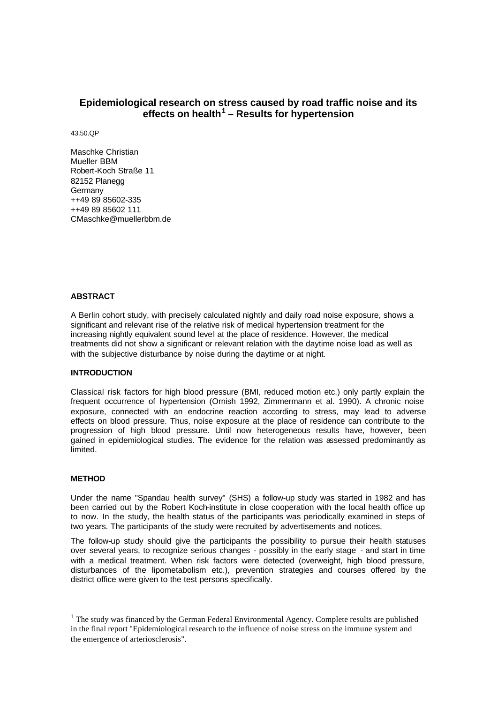# **Epidemiological research on stress caused by road traffic noise and its effects on health<sup>1</sup> – Results for hypertension**

43.50.QP

Maschke Christian Mueller BBM Robert-Koch Straße 11 82152 Planegg Germany ++49 89 85602-335 ++49 89 85602 111 CMaschke@muellerbbm.de

### **ABSTRACT**

A Berlin cohort study, with precisely calculated nightly and daily road noise exposure, shows a significant and relevant rise of the relative risk of medical hypertension treatment for the increasing nightly equivalent sound level at the place of residence. However, the medical treatments did not show a significant or relevant relation with the daytime noise load as well as with the subjective disturbance by noise during the daytime or at night.

#### **INTRODUCTION**

Classical risk factors for high blood pressure (BMI, reduced motion etc.) only partly explain the frequent occurrence of hypertension (Ornish 1992, Zimmermann et al. 1990). A chronic noise exposure, connected with an endocrine reaction according to stress, may lead to adverse effects on blood pressure. Thus, noise exposure at the place of residence can contribute to the progression of high blood pressure. Until now heterogeneous results have, however, been gained in epidemiological studies. The evidence for the relation was assessed predominantly as limited.

#### **METHOD**

l

Under the name "Spandau health survey" (SHS) a follow-up study was started in 1982 and has been carried out by the Robert Koch-institute in close cooperation with the local health office up to now. In the study, the health status of the participants was periodically examined in steps of two years. The participants of the study were recruited by advertisements and notices.

The follow-up study should give the participants the possibility to pursue their health statuses over several years, to recognize serious changes - possibly in the early stage - and start in time with a medical treatment. When risk factors were detected (overweight, high blood pressure, disturbances of the lipometabolism etc.), prevention strategies and courses offered by the district office were given to the test persons specifically.

 $1$  The study was financed by the German Federal Environmental Agency. Complete results are published in the final report "Epidemiological research to the influence of noise stress on the immune system and the emergence of arteriosclerosis".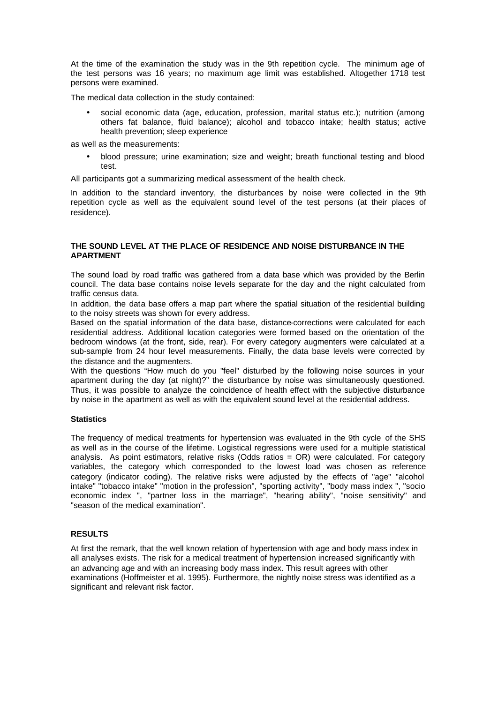At the time of the examination the study was in the 9th repetition cycle. The minimum age of the test persons was 16 years; no maximum age limit was established. Altogether 1718 test persons were examined.

The medical data collection in the study contained:

• social economic data (age, education, profession, marital status etc.); nutrition (among others fat balance, fluid balance); alcohol and tobacco intake; health status; active health prevention; sleep experience

as well as the measurements:

• blood pressure; urine examination; size and weight; breath functional testing and blood test.

All participants got a summarizing medical assessment of the health check.

In addition to the standard inventory, the disturbances by noise were collected in the 9th repetition cycle as well as the equivalent sound level of the test persons (at their places of residence).

#### **THE SOUND LEVEL AT THE PLACE OF RESIDENCE AND NOISE DISTURBANCE IN THE APARTMENT**

The sound load by road traffic was gathered from a data base which was provided by the Berlin council. The data base contains noise levels separate for the day and the night calculated from traffic census data.

In addition, the data base offers a map part where the spatial situation of the residential building to the noisy streets was shown for every address.

Based on the spatial information of the data base, distance-corrections were calculated for each residential address. Additional location categories were formed based on the orientation of the bedroom windows (at the front, side, rear). For every category augmenters were calculated at a sub-sample from 24 hour level measurements. Finally, the data base levels were corrected by the distance and the augmenters.

With the questions "How much do you "feel" disturbed by the following noise sources in your apartment during the day (at night)?" the disturbance by noise was simultaneously questioned. Thus, it was possible to analyze the coincidence of health effect with the subjective disturbance by noise in the apartment as well as with the equivalent sound level at the residential address.

#### **Statistics**

The frequency of medical treatments for hypertension was evaluated in the 9th cycle of the SHS as well as in the course of the lifetime. Logistical regressions were used for a multiple statistical analysis. As point estimators, relative risks (Odds ratios = OR) were calculated. For category variables, the category which corresponded to the lowest load was chosen as reference category (indicator coding). The relative risks were adjusted by the effects of "age" "alcohol intake" "tobacco intake" "motion in the profession", "sporting activity", "body mass index ", "socio economic index ", "partner loss in the marriage", "hearing ability", "noise sensitivity" and "season of the medical examination".

#### **RESULTS**

At first the remark, that the well known relation of hypertension with age and body mass index in all analyses exists. The risk for a medical treatment of hypertension increased significantly with an advancing age and with an increasing body mass index. This result agrees with other examinations (Hoffmeister et al. 1995). Furthermore, the nightly noise stress was identified as a significant and relevant risk factor.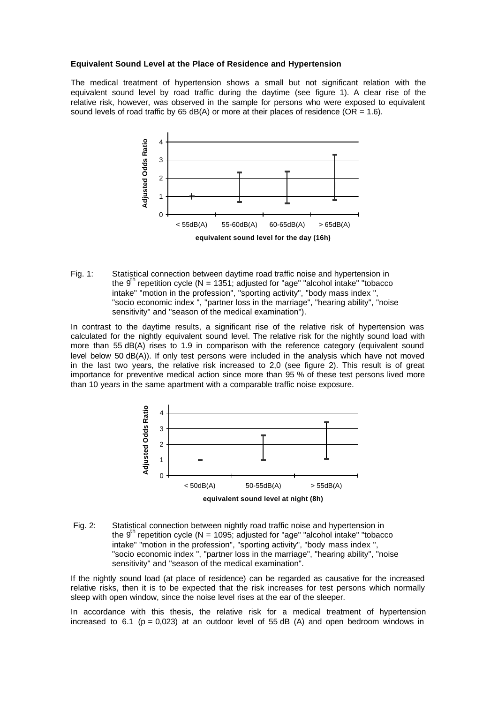#### **Equivalent Sound Level at the Place of Residence and Hypertension**

The medical treatment of hypertension shows a small but not significant relation with the equivalent sound level by road traffic during the daytime (see figure 1). A clear rise of the relative risk, however, was observed in the sample for persons who were exposed to equivalent sound levels of road traffic by 65 dB(A) or more at their places of residence ( $OR = 1.6$ ).



Fig. 1: Statistical connection between daytime road traffic noise and hypertension in the 9<sup>th</sup> repetition cycle (N = 1351; adjusted for "age" "alcohol intake" "tobacco intake" "motion in the profession", "sporting activity", "body mass index ", "socio economic index ", "partner loss in the marriage", "hearing ability", "noise sensitivity" and "season of the medical examination").

In contrast to the daytime results, a significant rise of the relative risk of hypertension was calculated for the nightly equivalent sound level. The relative risk for the nightly sound load with more than 55 dB(A) rises to 1.9 in comparison with the reference category (equivalent sound level below 50 dB(A)). If only test persons were included in the analysis which have not moved in the last two years, the relative risk increased to 2,0 (see figure 2). This result is of great importance for preventive medical action since more than 95 % of these test persons lived more than 10 years in the same apartment with a comparable traffic noise exposure.



 Fig. 2: Statistical connection between nightly road traffic noise and hypertension in the  $9<sup>th</sup>$  repetition cycle (N = 1095; adjusted for "age" "alcohol intake" "tobacco intake" "motion in the profession", "sporting activity", "body mass index ", "socio economic index ", "partner loss in the marriage", "hearing ability", "noise sensitivity" and "season of the medical examination".

If the nightly sound load (at place of residence) can be regarded as causative for the increased relative risks, then it is to be expected that the risk increases for test persons which normally sleep with open window, since the noise level rises at the ear of the sleeper.

In accordance with this thesis, the relative risk for a medical treatment of hypertension increased to 6.1 ( $p = 0.023$ ) at an outdoor level of 55 dB (A) and open bedroom windows in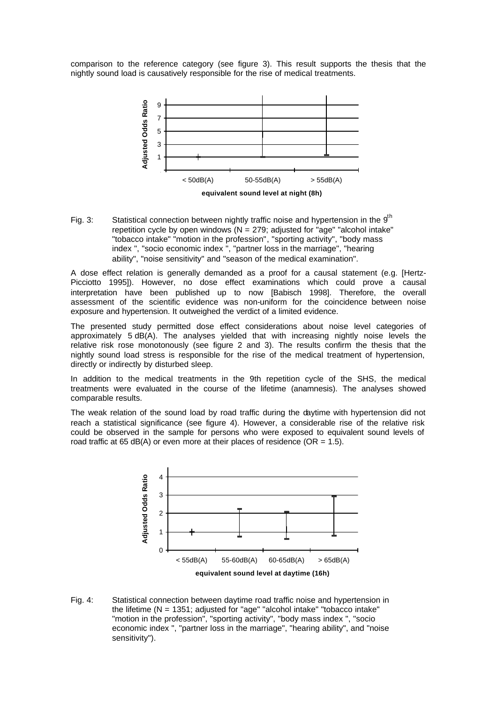comparison to the reference category (see figure 3). This result supports the thesis that the nightly sound load is causatively responsible for the rise of medical treatments.



Fig. 3: Statistical connection between nightly traffic noise and hypertension in the  $9<sup>th</sup>$ repetition cycle by open windows (N = 279; adjusted for "age" "alcohol intake" "tobacco intake" "motion in the profession", "sporting activity", "body mass index ", "socio economic index ", "partner loss in the marriage", "hearing ability", "noise sensitivity" and "season of the medical examination".

A dose effect relation is generally demanded as a proof for a causal statement (e.g. [Hertz-Picciotto 1995]). However, no dose effect examinations which could prove a causal interpretation have been published up to now [Babisch 1998]. Therefore, the overall assessment of the scientific evidence was non-uniform for the coincidence between noise exposure and hypertension. It outweighed the verdict of a limited evidence.

The presented study permitted dose effect considerations about noise level categories of approximately 5 dB(A). The analyses yielded that with increasing nightly noise levels the relative risk rose monotonously (see figure 2 and 3). The results confirm the thesis that the nightly sound load stress is responsible for the rise of the medical treatment of hypertension, directly or indirectly by disturbed sleep.

In addition to the medical treatments in the 9th repetition cycle of the SHS, the medical treatments were evaluated in the course of the lifetime (anamnesis). The analyses showed comparable results.

The weak relation of the sound load by road traffic during the daytime with hypertension did not reach a statistical significance (see figure 4). However, a considerable rise of the relative risk could be observed in the sample for persons who were exposed to equivalent sound levels of road traffic at 65 dB(A) or even more at their places of residence (OR =  $1.5$ ).



Fig. 4: Statistical connection between daytime road traffic noise and hypertension in the lifetime (N = 1351; adjusted for "age" "alcohol intake" "tobacco intake" "motion in the profession", "sporting activity", "body mass index ", "socio economic index ", "partner loss in the marriage", "hearing ability", and "noise sensitivity").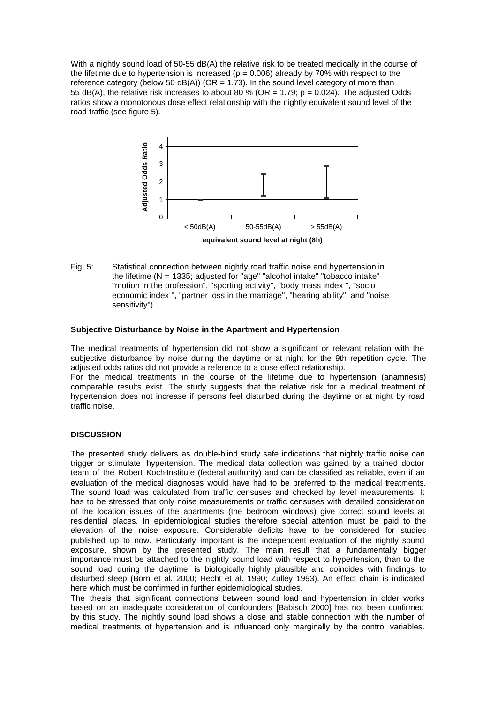With a nightly sound load of 50-55 dB(A) the relative risk to be treated medically in the course of the lifetime due to hypertension is increased ( $p = 0.006$ ) already by 70% with respect to the reference category (below 50 dB(A)) (OR = 1.73). In the sound level category of more than 55 dB(A), the relative risk increases to about 80 % (OR =  $1.79$ ;  $p = 0.024$ ). The adjusted Odds ratios show a monotonous dose effect relationship with the nightly equivalent sound level of the road traffic (see figure 5).



Fig. 5: Statistical connection between nightly road traffic noise and hypertension in the lifetime (N = 1335; adjusted for "age" "alcohol intake" "tobacco intake" "motion in the profession", "sporting activity", "body mass index ", "socio economic index ", "partner loss in the marriage", "hearing ability", and "noise sensitivity").

#### **Subjective Disturbance by Noise in the Apartment and Hypertension**

The medical treatments of hypertension did not show a significant or relevant relation with the subjective disturbance by noise during the daytime or at night for the 9th repetition cycle. The adjusted odds ratios did not provide a reference to a dose effect relationship. For the medical treatments in the course of the lifetime due to hypertension (anamnesis)

comparable results exist. The study suggests that the relative risk for a medical treatment of hypertension does not increase if persons feel disturbed during the daytime or at night by road traffic noise.

### **DISCUSSION**

The presented study delivers as double-blind study safe indications that nightly traffic noise can trigger or stimulate hypertension. The medical data collection was gained by a trained doctor team of the Robert Koch-Institute (federal authority) and can be classified as reliable, even if an evaluation of the medical diagnoses would have had to be preferred to the medical treatments. The sound load was calculated from traffic censuses and checked by level measurements. It has to be stressed that only noise measurements or traffic censuses with detailed consideration of the location issues of the apartments (the bedroom windows) give correct sound levels at residential places. In epidemiological studies therefore special attention must be paid to the elevation of the noise exposure. Considerable deficits have to be considered for studies published up to now. Particularly important is the independent evaluation of the nightly sound exposure, shown by the presented study. The main result that a fundamentally bigger importance must be attached to the nightly sound load with respect to hypertension, than to the sound load during the daytime, is biologically highly plausible and coincides with findings to disturbed sleep (Born et al. 2000; Hecht et al. 1990; Zulley 1993). An effect chain is indicated here which must be confirmed in further epidemiological studies.

The thesis that significant connections between sound load and hypertension in older works based on an inadequate consideration of confounders [Babisch 2000] has not been confirmed by this study. The nightly sound load shows a close and stable connection with the number of medical treatments of hypertension and is influenced only marginally by the control variables.